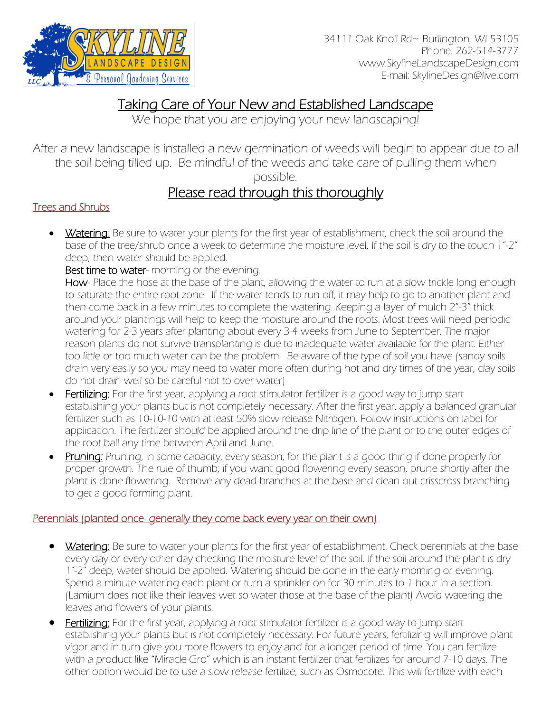

## Taking Care of Your New and Established Landscape

We hope that you are enjoying your new landscaping!

After a new landscape is installed a new germination of weeds will begin to appear due to all the soil being tilled up. Be mindful of the weeds and take care of pulling them when

possible.

# Please read through this thoroughly<br>Trees and Shrubs

Watering: Be sure to water your plants for the first year of establishment, check the soil around the base of the tree/shrub once a week to determine the moisture level. If the soil is dry to the touch 1"-2" deep, then water should be applied.

Best time to water- morning or the evening.

How- Place the hose at the base of the plant, allowing the water to run at a slow trickle long enough to saturate the entire root zone. If the water tends to run off, it may help to go to another plant and then come back in a few minutes to complete the watering. Keeping a layer of mulch 2"-3" thick around your plantings will help to keep the moisture around the roots. Most trees will need periodic watering for 2-3 years after planting about every 3-4 weeks from June to September. The major reason plants do not survive transplanting is due to inadequate water available for the plant. Either too little or too much water can be the problem. Be aware of the type of soil you have (sandy soils drain very easily so you may need to water more often during hot and dry times of the year, clay soils do not drain well so be careful not to over water)

- Fertilizing: For the first year, applying a root stimulator fertilizer is a good way to jump start establishing your plants but is not completely necessary. After the first year, apply a balanced granular fertilizer such as 10-10-10 with at least 50% slow release Nitrogen. Follow instructions on label for application. The fertilizer should be applied around the drip line of the plant or to the outer edges of the root ball any time between April and June.
- **Pruning:** Pruning, in some capacity, every season, for the plant is a good thing if done properly for proper growth. The rule of thumb; if you want good flowering every season, prune shortly after the plant is done flowering. Remove any dead branches at the base and clean out crisscross branching to get a good forming plant.

#### Perennials (planted once- generally they come back every year on their own)

- Watering: Be sure to water your plants for the first year of establishment. Check perennials at the base every day or every other day checking the moisture level of the soil. If the soil around the plant is dry 1"-2" deep, water should be applied. Watering should be done in the early morning or evening. Spend a minute watering each plant or turn a sprinkler on for 30 minutes to 1 hour in a section. (Lamium does not like their leaves wet so water those at the base of the plant) Avoid watering the leaves and flowers of your plants.
- **Fertilizing:** For the first year, applying a root stimulator fertilizer is a good way to jump start establishing your plants but is not completely necessary. For future years, fertilizing will improve plant vigor and in turn give you more flowers to enjoy and for a longer period of time. You can fertilize with a product like "Miracle-Gro" which is an instant fertilizer that fertilizes for around 7-10 days. The other option would be to use a slow release fertilize, such as Osmocote. This will fertilize with each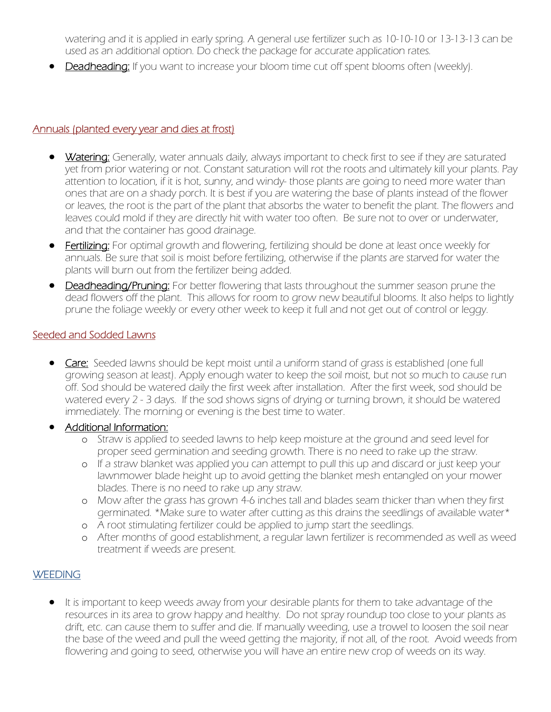watering and it is applied in early spring. A general use fertilizer such as 10-10-10 or 13-13-13 can be used as an additional option. Do check the package for accurate application rates.

**Deadheading:** If you want to increase your bloom time cut off spent blooms often (weekly).

#### Annuals (planted every year and dies at frost)

- Watering: Generally, water annuals daily, always important to check first to see if they are saturated yet from prior watering or not. Constant saturation will rot the roots and ultimately kill your plants. Pay attention to location, if it is hot, sunny, and windy- those plants are going to need more water than ones that are on a shady porch. It is best if you are watering the base of plants instead of the flower or leaves, the root is the part of the plant that absorbs the water to benefit the plant. The flowers and leaves could mold if they are directly hit with water too often. Be sure not to over or underwater, and that the container has good drainage.
- **Fertilizing:** For optimal growth and flowering, fertilizing should be done at least once weekly for annuals. Be sure that soil is moist before fertilizing, otherwise if the plants are starved for water the plants will burn out from the fertilizer being added.
- **Deadheading/Pruning:** For better flowering that lasts throughout the summer season prune the dead flowers off the plant. This allows for room to grow new beautiful blooms. It also helps to lightly prune the foliage weekly or every other week to keep it full and not get out of control or leggy.

#### Seeded and Sodded Lawns

• Care: Seeded lawns should be kept moist until a uniform stand of grass is established (one full growing season at least). Apply enough water to keep the soil moist, but not so much to cause run off. Sod should be watered daily the first week after installation. After the first week, sod should be watered every 2 - 3 days. If the sod shows signs of drying or turning brown, it should be watered immediately. The morning or evening is the best time to water.

#### • Additional Information:

- o Straw is applied to seeded lawns to help keep moisture at the ground and seed level for proper seed germination and seeding growth. There is no need to rake up the straw.
- o If a straw blanket was applied you can attempt to pull this up and discard or just keep your lawnmower blade height up to avoid getting the blanket mesh entangled on your mower blades. There is no need to rake up any straw.
- o Mow after the grass has grown 4-6 inches tall and blades seam thicker than when they first germinated. \*Make sure to water after cutting as this drains the seedlings of available water\*
- o A root stimulating fertilizer could be applied to jump start the seedlings.
- o After months of good establishment, a regular lawn fertilizer is recommended as well as weed treatment if weeds are present.

#### **WEEDING**

• It is important to keep weeds away from your desirable plants for them to take advantage of the resources in its area to grow happy and healthy. Do not spray roundup too close to your plants as drift, etc. can cause them to suffer and die. If manually weeding, use a trowel to loosen the soil near the base of the weed and pull the weed getting the majority, if not all, of the root. Avoid weeds from flowering and going to seed, otherwise you will have an entire new crop of weeds on its way.